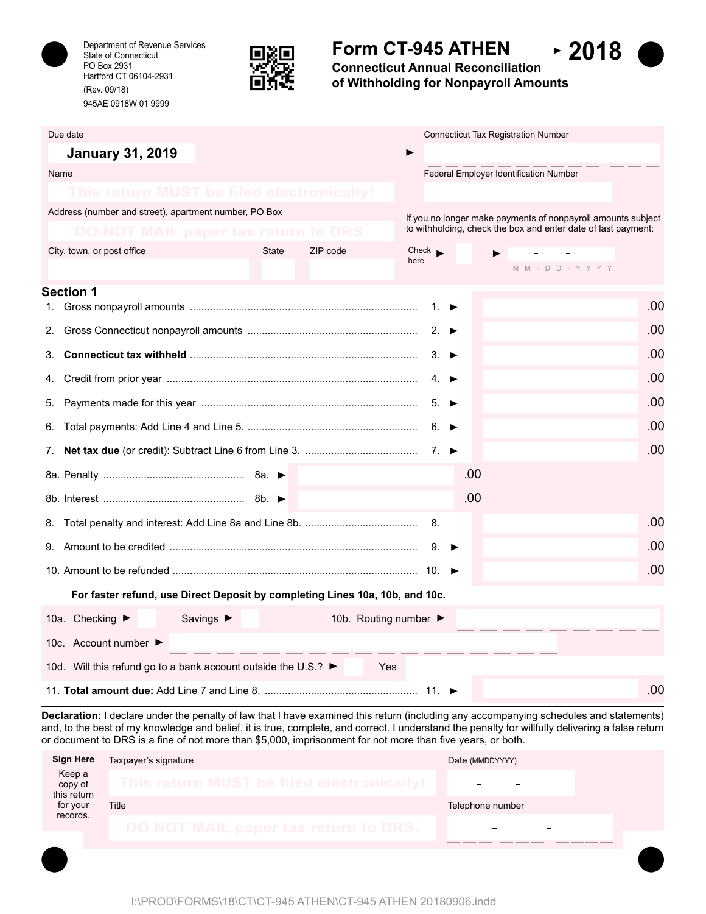

Department of Revenue Services State of Connecticut PO Box 2931 Hartford CT 06104-2931 (Rev. 09/18) 945AE 0918W 01 9999



# **Form CT-945 ATHEN**

**Connecticut Annual Reconciliation of Withholding for Nonpayroll Amounts**

 $-2018$ 

| Due date                                                                     | <b>Connecticut Tax Registration Number</b>                                                                                      |  |  |  |
|------------------------------------------------------------------------------|---------------------------------------------------------------------------------------------------------------------------------|--|--|--|
| <b>January 31, 2019</b>                                                      |                                                                                                                                 |  |  |  |
| Name                                                                         | Federal Employer Identification Number                                                                                          |  |  |  |
| This return MUST be filed electronically!                                    |                                                                                                                                 |  |  |  |
| Address (number and street), apartment number, PO Box                        | If you no longer make payments of nonpayroll amounts subject                                                                    |  |  |  |
| DO NOT MAIL paper tax return to DRS                                          | to withholding, check the box and enter date of last payment:                                                                   |  |  |  |
| ZIP code<br>City, town, or post office<br><b>State</b>                       | $Check \rightarrow$<br>here                                                                                                     |  |  |  |
|                                                                              | $\overline{M} \ \overline{M} \ - \ \overline{D} \ \overline{D} \ - \ \overline{Y} \ \overline{Y} \ \overline{Y} \ \overline{Y}$ |  |  |  |
| <b>Section 1</b>                                                             | .00<br>1. $\blacktriangleright$                                                                                                 |  |  |  |
| 2.                                                                           | .00<br>2. $\blacktriangleright$                                                                                                 |  |  |  |
| 3.                                                                           | .00<br>$3. \triangleright$                                                                                                      |  |  |  |
| 4.                                                                           | .00<br>$4 \bullet$                                                                                                              |  |  |  |
| 5.                                                                           | .00<br>$5. \triangleright$                                                                                                      |  |  |  |
| 6.                                                                           | .00<br>6. $\blacktriangleright$                                                                                                 |  |  |  |
|                                                                              | .00                                                                                                                             |  |  |  |
|                                                                              | .00                                                                                                                             |  |  |  |
|                                                                              | .00                                                                                                                             |  |  |  |
|                                                                              | .00<br>8.                                                                                                                       |  |  |  |
|                                                                              | .00<br>$9. \rightarrow$                                                                                                         |  |  |  |
|                                                                              | .00                                                                                                                             |  |  |  |
| For faster refund, use Direct Deposit by completing Lines 10a, 10b, and 10c. |                                                                                                                                 |  |  |  |
| 10a. Checking ▶<br>Savings $\blacktriangleright$<br>10b. Routing number ▶    |                                                                                                                                 |  |  |  |
| 10c. Account number ▶                                                        |                                                                                                                                 |  |  |  |
| 10d. Will this refund go to a bank account outside the U.S.? ►<br>Yes        |                                                                                                                                 |  |  |  |
|                                                                              | .00                                                                                                                             |  |  |  |

**Declaration:** I declare under the penalty of law that I have examined this return (including any accompanying schedules and statements) and, to the best of my knowledge and belief, it is true, complete, and correct. I understand the penalty for willfully delivering a false return or document to DRS is a fine of not more than \$5,000, imprisonment for not more than five years, or both.

| <b>Sign Here</b>                 | Taxpayer's signature                      | Date (MMDDYYYY)  |
|----------------------------------|-------------------------------------------|------------------|
| Keep a<br>copy of<br>this return | This return MUST be filed electronically! |                  |
| for your                         | Title                                     | Telephone number |
| records.                         | DO NOT MAIL paper tax return to DRS.      |                  |
|                                  |                                           |                  |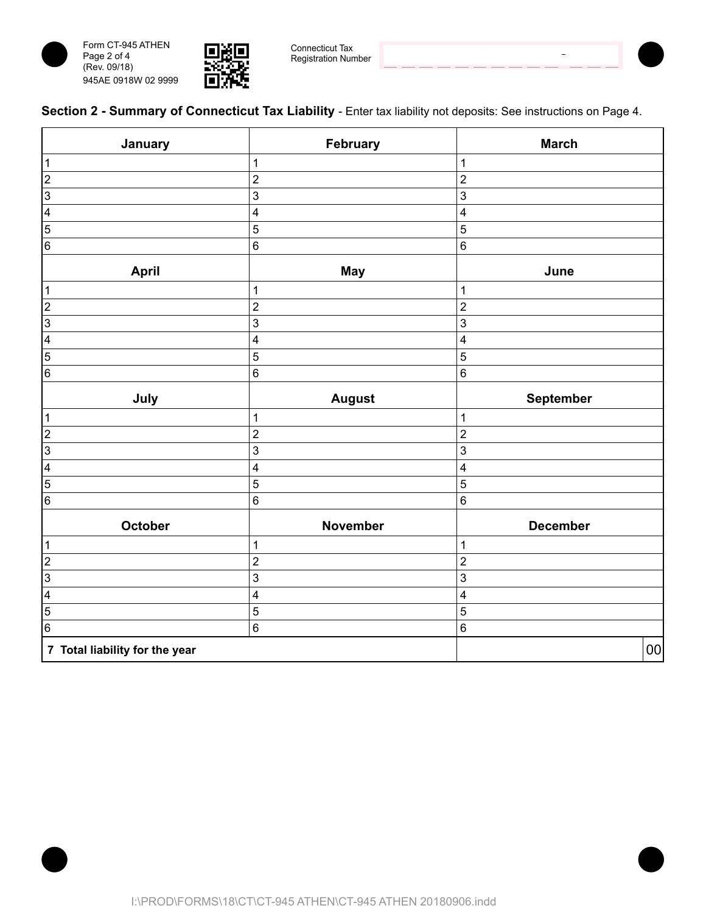





Connecticut Tax Registration Number

 $\overline{a}$ 



| January                        | February                | <b>March</b>            |
|--------------------------------|-------------------------|-------------------------|
| $\vert$ 1                      | $\mathbf 1$             | 1                       |
| $\overline{c}$                 | $\mathbf 2$             | $\overline{c}$          |
| $\sqrt{3}$                     | 3                       | 3                       |
| $\overline{4}$                 | $\overline{\mathbf{4}}$ | $\overline{\mathbf{4}}$ |
| $\boxed{5}$                    | $\overline{5}$          | 5                       |
| $\,6$                          | $\,6$                   | $\,6$                   |
| <b>April</b>                   | <b>May</b>              | June                    |
| $\vert$ 1                      | $\mathbf 1$             | 1                       |
| $\overline{2}$                 | $\overline{c}$          | $\overline{c}$          |
| $\overline{3}$                 | $\overline{3}$          | 3                       |
| $\overline{4}$                 | $\overline{\mathbf{4}}$ | 4                       |
| 5                              | $\overline{5}$          | 5                       |
| $\,6$                          | $\,6$                   | $\,6\,$                 |
| July                           | <b>August</b>           | September               |
| $\vert$ 1                      | $\mathbf{1}$            | 1                       |
| $\overline{c}$                 | $\overline{c}$          | $\overline{c}$          |
| $\vert$                        | $\mathbf{3}$            | $\mathbf{3}$            |
| $\overline{\mathbf{4}}$        | $\overline{\mathbf{4}}$ | 4                       |
| $\overline{5}$                 | 5                       | 5                       |
| $\,6$                          | $\,6$                   | $\,6\,$                 |
| October                        | November                | <b>December</b>         |
| $\mathbf{1}$                   | $\mathbf 1$             | 1                       |
| $\overline{2}$                 | $\overline{c}$          | $\overline{c}$          |
| $\overline{3}$                 | 3                       | $\mathbf{3}$            |
| $\overline{\mathbf{4}}$        | $\overline{\mathbf{4}}$ | 4                       |
| $\overline{5}$                 | 5                       | 5                       |
| $6\overline{6}$                | $\,6$                   | $\,6\,$                 |
| 7 Total liability for the year |                         | 00                      |

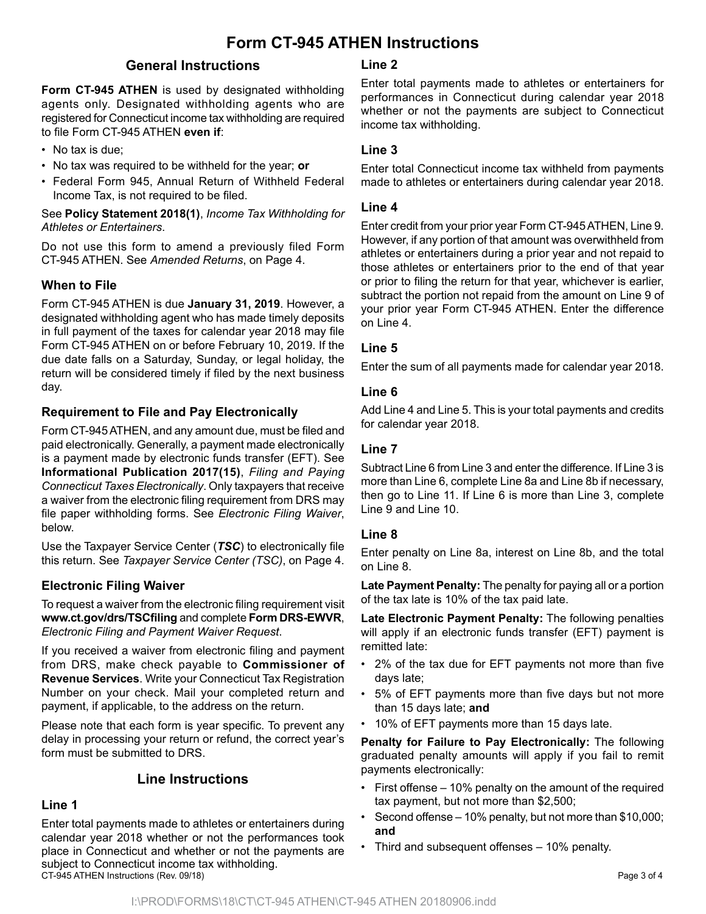## **Form CT-945 ATHEN Instructions**

## **General Instructions**

**Form CT-945 ATHEN** is used by designated withholding agents only. Designated withholding agents who are registered for Connecticut income tax withholding are required to file Form CT-945 ATHEN **even if**:

- No tax is due:
- No tax was required to be withheld for the year; **or**
- Federal Form 945, Annual Return of Withheld Federal Income Tax, is not required to be filed.

See **Policy Statement 2018(1)**, *Income Tax Withholding for Athletes or Entertainers*.

Do not use this form to amend a previously filed Form CT-945 ATHEN. See *Amended Returns*, on Page 4.

#### **When to File**

Form CT-945 ATHEN is due **January 31, 2019**. However, a designated withholding agent who has made timely deposits in full payment of the taxes for calendar year 2018 may file Form CT-945 ATHEN on or before February 10, 2019. If the due date falls on a Saturday, Sunday, or legal holiday, the return will be considered timely if filed by the next business day.

## **Requirement to File and Pay Electronically**

Form CT-945 ATHEN, and any amount due, must be filed and paid electronically. Generally, a payment made electronically is a payment made by electronic funds transfer (EFT). See **Informational Publication 2017(15)**, *Filing and Paying Connecticut Taxes Electronically*. Only taxpayers that receive a waiver from the electronic filing requirement from DRS may file paper withholding forms. See *Electronic Filing Waiver*, below.

Use the Taxpayer Service Center (*TSC*) to electronically file this return. See *Taxpayer Service Center (TSC)*, on Page 4.

## **Electronic Filing Waiver**

To request a waiver from the electronic filing requirement visit **www.ct.gov/drs/TSCfiling** and complete **Form DRS-EWVR**, *Electronic Filing and Payment Waiver Request*.

If you received a waiver from electronic filing and payment from DRS, make check payable to **Commissioner of Revenue Services**. Write your Connecticut Tax Registration Number on your check. Mail your completed return and payment, if applicable, to the address on the return.

Please note that each form is year specific. To prevent any delay in processing your return or refund, the correct year's form must be submitted to DRS.

## **Line Instructions**

#### **Line 1**

Enter total payments made to athletes or entertainers during calendar year 2018 whether or not the performances took place in Connecticut and whether or not the payments are subject to Connecticut income tax withholding. CT-945 ATHEN Instructions (Rev. 09/18) Page 3 of 4

#### **Line 2**

Enter total payments made to athletes or entertainers for performances in Connecticut during calendar year 2018 whether or not the payments are subject to Connecticut income tax withholding.

#### **Line 3**

Enter total Connecticut income tax withheld from payments made to athletes or entertainers during calendar year 2018.

#### **Line 4**

Enter credit from your prior year Form CT-945 ATHEN, Line 9. However, if any portion of that amount was overwithheld from athletes or entertainers during a prior year and not repaid to those athletes or entertainers prior to the end of that year or prior to filing the return for that year, whichever is earlier, subtract the portion not repaid from the amount on Line 9 of your prior year Form CT-945 ATHEN. Enter the difference on Line 4.

#### **Line 5**

Enter the sum of all payments made for calendar year 2018.

#### **Line 6**

Add Line 4 and Line 5. This is your total payments and credits for calendar year 2018.

#### **Line 7**

Subtract Line 6 from Line 3 and enter the difference. If Line 3 is more than Line 6, complete Line 8a and Line 8b if necessary, then go to Line 11. If Line 6 is more than Line 3, complete Line 9 and Line 10.

#### **Line 8**

Enter penalty on Line 8a, interest on Line 8b, and the total on Line 8.

**Late Payment Penalty:** The penalty for paying all or a portion of the tax late is 10% of the tax paid late.

**Late Electronic Payment Penalty:** The following penalties will apply if an electronic funds transfer (EFT) payment is remitted late:

- 2% of the tax due for EFT payments not more than five days late;
- 5% of EFT payments more than five days but not more than 15 days late; **and**
- 10% of EFT payments more than 15 days late.

**Penalty for Failure to Pay Electronically:** The following graduated penalty amounts will apply if you fail to remit payments electronically:

- First offense 10% penalty on the amount of the required tax payment, but not more than \$2,500;
- Second offense 10% penalty, but not more than \$10,000; **and**
- Third and subsequent offenses 10% penalty.